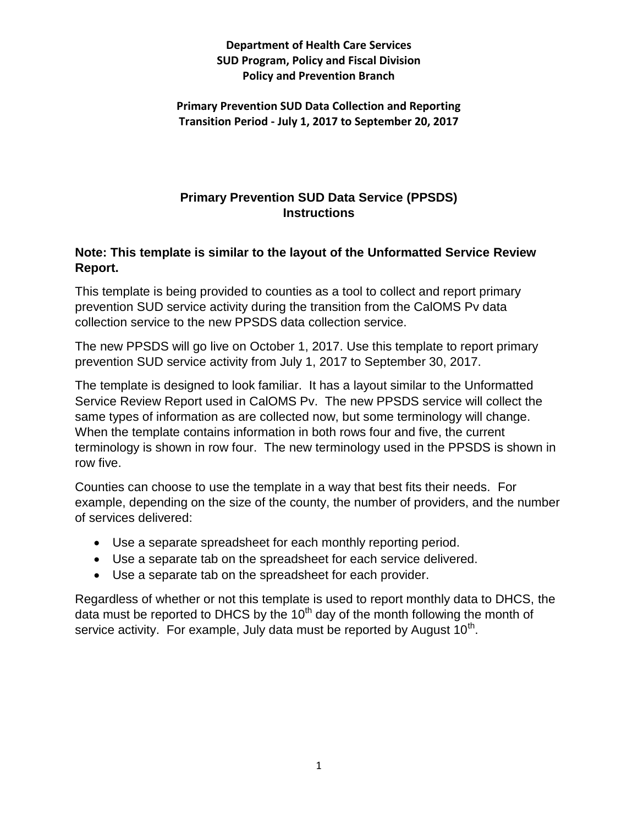**Primary Prevention SUD Data Collection and Reporting Transition Period - July 1, 2017 to September 20, 2017**

## **Primary Prevention SUD Data Service (PPSDS) Instructions**

## **Note: This template is similar to the layout of the Unformatted Service Review Report.**

This template is being provided to counties as a tool to collect and report primary prevention SUD service activity during the transition from the CalOMS Pv data collection service to the new PPSDS data collection service.

The new PPSDS will go live on October 1, 2017. Use this template to report primary prevention SUD service activity from July 1, 2017 to September 30, 2017.

The template is designed to look familiar. It has a layout similar to the Unformatted Service Review Report used in CalOMS Pv. The new PPSDS service will collect the same types of information as are collected now, but some terminology will change. When the template contains information in both rows four and five, the current terminology is shown in row four. The new terminology used in the PPSDS is shown in row five.

Counties can choose to use the template in a way that best fits their needs. For example, depending on the size of the county, the number of providers, and the number of services delivered:

- Use a separate spreadsheet for each monthly reporting period.
- Use a separate tab on the spreadsheet for each service delivered.
- Use a separate tab on the spreadsheet for each provider.

Regardless of whether or not this template is used to report monthly data to DHCS, the data must be reported to DHCS by the  $10<sup>th</sup>$  day of the month following the month of service activity. For example, July data must be reported by August 10<sup>th</sup>.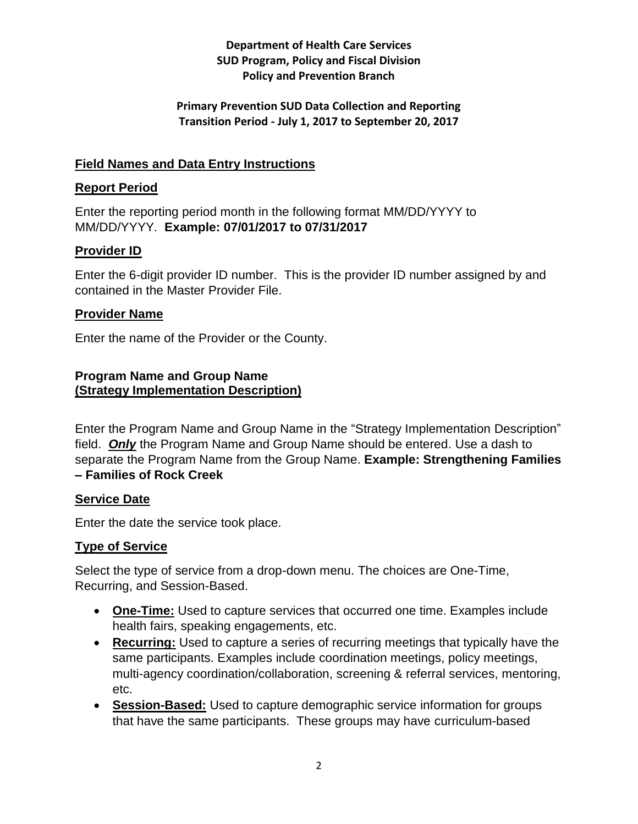### **Primary Prevention SUD Data Collection and Reporting Transition Period - July 1, 2017 to September 20, 2017**

## **Field Names and Data Entry Instructions**

## **Report Period**

Enter the reporting period month in the following format MM/DD/YYYY to MM/DD/YYYY. **Example: 07/01/2017 to 07/31/2017**

## **Provider ID**

Enter the 6-digit provider ID number. This is the provider ID number assigned by and contained in the Master Provider File.

### **Provider Name**

Enter the name of the Provider or the County.

#### **Program Name and Group Name (Strategy Implementation Description)**

Enter the Program Name and Group Name in the "Strategy Implementation Description" field. *Only* the Program Name and Group Name should be entered. Use a dash to separate the Program Name from the Group Name. **Example: Strengthening Families – Families of Rock Creek**

### **Service Date**

Enter the date the service took place.

## **Type of Service**

Select the type of service from a drop-down menu. The choices are One-Time, Recurring, and Session-Based.

- **One-Time:** Used to capture services that occurred one time. Examples include health fairs, speaking engagements, etc.
- **Recurring:** Used to capture a series of recurring meetings that typically have the same participants. Examples include coordination meetings, policy meetings, multi-agency coordination/collaboration, screening & referral services, mentoring, etc.
- **Session-Based:** Used to capture demographic service information for groups that have the same participants. These groups may have curriculum-based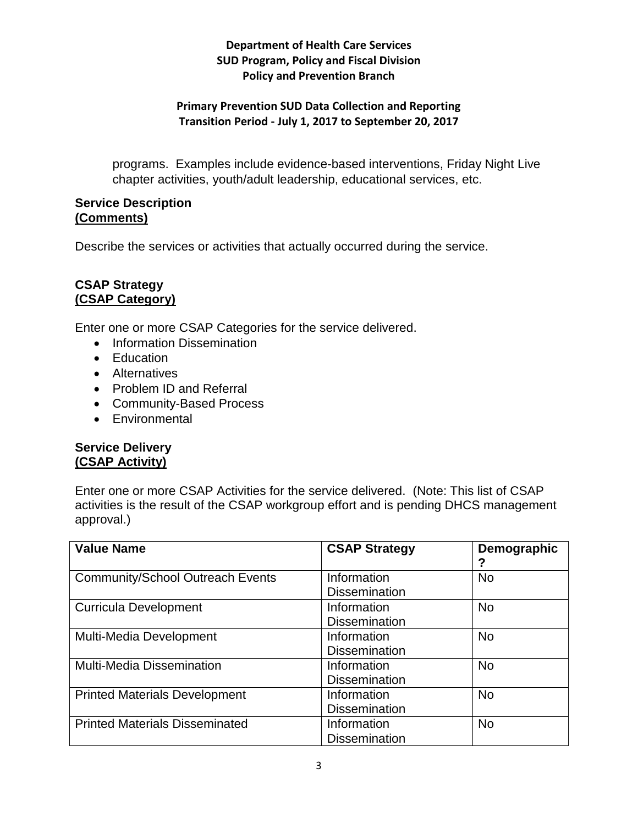### **Primary Prevention SUD Data Collection and Reporting Transition Period - July 1, 2017 to September 20, 2017**

programs. Examples include evidence-based interventions, Friday Night Live chapter activities, youth/adult leadership, educational services, etc.

### **Service Description (Comments)**

Describe the services or activities that actually occurred during the service.

#### **CSAP Strategy (CSAP Category)**

Enter one or more CSAP Categories for the service delivered.

- Information Dissemination
- Education
- Alternatives
- Problem ID and Referral
- Community-Based Process
- Environmental

### **Service Delivery (CSAP Activity)**

Enter one or more CSAP Activities for the service delivered. (Note: This list of CSAP activities is the result of the CSAP workgroup effort and is pending DHCS management approval.)

| <b>Value Name</b>                       | <b>CSAP Strategy</b>                | Demographic<br>2 |
|-----------------------------------------|-------------------------------------|------------------|
| <b>Community/School Outreach Events</b> | Information<br><b>Dissemination</b> | <b>No</b>        |
| <b>Curricula Development</b>            | Information<br><b>Dissemination</b> | <b>No</b>        |
| Multi-Media Development                 | Information<br><b>Dissemination</b> | <b>No</b>        |
| <b>Multi-Media Dissemination</b>        | Information<br><b>Dissemination</b> | <b>No</b>        |
| <b>Printed Materials Development</b>    | Information<br><b>Dissemination</b> | <b>No</b>        |
| <b>Printed Materials Disseminated</b>   | Information<br><b>Dissemination</b> | <b>No</b>        |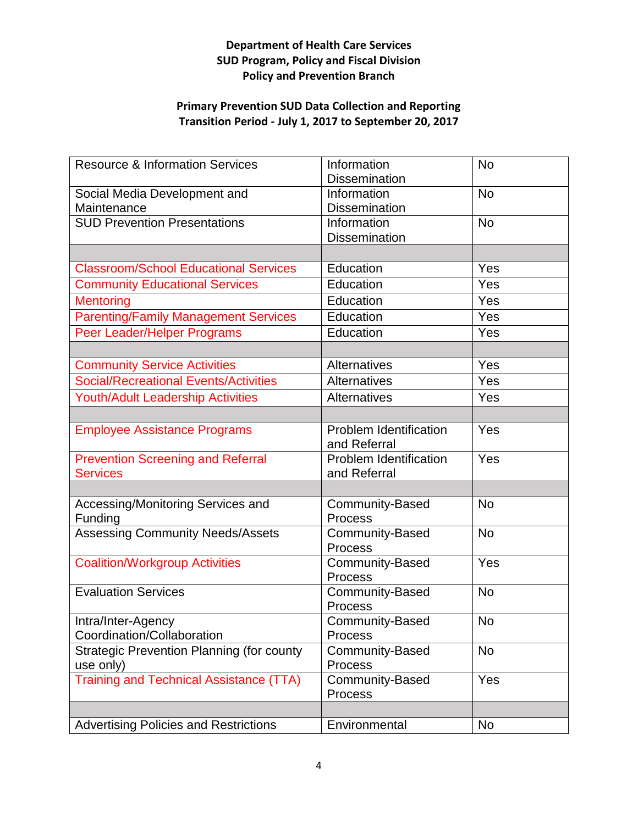## **Primary Prevention SUD Data Collection and Reporting Transition Period - July 1, 2017 to September 20, 2017**

| <b>Resource &amp; Information Services</b>       | Information<br><b>Dissemination</b>      | <b>No</b> |
|--------------------------------------------------|------------------------------------------|-----------|
| Social Media Development and<br>Maintenance      | Information<br><b>Dissemination</b>      | <b>No</b> |
| <b>SUD Prevention Presentations</b>              | Information<br><b>Dissemination</b>      | <b>No</b> |
|                                                  |                                          |           |
| <b>Classroom/School Educational Services</b>     | Education                                | Yes       |
| <b>Community Educational Services</b>            | Education                                | Yes       |
| <b>Mentoring</b>                                 | Education                                | Yes       |
| <b>Parenting/Family Management Services</b>      | Education                                | Yes       |
| Peer Leader/Helper Programs                      | Education                                | Yes       |
|                                                  |                                          |           |
| <b>Community Service Activities</b>              | Alternatives                             | Yes       |
| <b>Social/Recreational Events/Activities</b>     | Alternatives                             | Yes       |
| <b>Youth/Adult Leadership Activities</b>         | Alternatives                             | Yes       |
|                                                  |                                          |           |
| <b>Employee Assistance Programs</b>              | Problem Identification<br>and Referral   | Yes       |
| <b>Prevention Screening and Referral</b>         | Problem Identification                   | Yes       |
| <b>Services</b>                                  | and Referral                             |           |
|                                                  |                                          |           |
| Accessing/Monitoring Services and<br>Funding     | <b>Community-Based</b><br><b>Process</b> | <b>No</b> |
| <b>Assessing Community Needs/Assets</b>          | Community-Based<br><b>Process</b>        | <b>No</b> |
| <b>Coalition/Workgroup Activities</b>            | <b>Community-Based</b><br><b>Process</b> | Yes       |
| <b>Evaluation Services</b>                       | Community-Based<br><b>Process</b>        | <b>No</b> |
| Intra/Inter-Agency                               | Community-Based                          | No        |
| Coordination/Collaboration                       | <b>Process</b>                           |           |
| <b>Strategic Prevention Planning (for county</b> | Community-Based                          | <b>No</b> |
| use only)                                        | <b>Process</b>                           |           |
| <b>Training and Technical Assistance (TTA)</b>   | <b>Community-Based</b><br><b>Process</b> | Yes       |
|                                                  |                                          |           |
| <b>Advertising Policies and Restrictions</b>     | Environmental                            | <b>No</b> |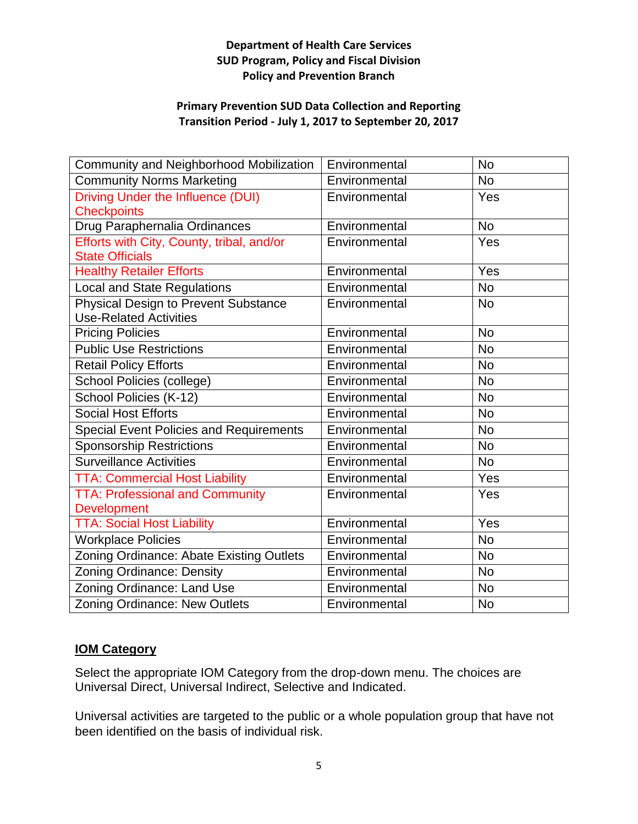#### **Primary Prevention SUD Data Collection and Reporting Transition Period - July 1, 2017 to September 20, 2017**

| Community and Neighborhood Mobilization        | Environmental | <b>No</b> |
|------------------------------------------------|---------------|-----------|
| <b>Community Norms Marketing</b>               | Environmental | <b>No</b> |
| Driving Under the Influence (DUI)              | Environmental | Yes       |
| <b>Checkpoints</b>                             |               |           |
| Drug Paraphernalia Ordinances                  | Environmental | <b>No</b> |
| Efforts with City, County, tribal, and/or      | Environmental | Yes       |
| <b>State Officials</b>                         |               |           |
| <b>Healthy Retailer Efforts</b>                | Environmental | Yes       |
| <b>Local and State Regulations</b>             | Environmental | <b>No</b> |
| <b>Physical Design to Prevent Substance</b>    | Environmental | <b>No</b> |
| <b>Use-Related Activities</b>                  |               |           |
| <b>Pricing Policies</b>                        | Environmental | <b>No</b> |
| <b>Public Use Restrictions</b>                 | Environmental | <b>No</b> |
| <b>Retail Policy Efforts</b>                   | Environmental | <b>No</b> |
| School Policies (college)                      | Environmental | <b>No</b> |
| School Policies (K-12)                         | Environmental | <b>No</b> |
| <b>Social Host Efforts</b>                     | Environmental | <b>No</b> |
| <b>Special Event Policies and Requirements</b> | Environmental | <b>No</b> |
| <b>Sponsorship Restrictions</b>                | Environmental | <b>No</b> |
| Surveillance Activities                        | Environmental | <b>No</b> |
| <b>TTA: Commercial Host Liability</b>          | Environmental | Yes       |
| <b>TTA: Professional and Community</b>         | Environmental | Yes       |
| <b>Development</b>                             |               |           |
| <b>TTA: Social Host Liability</b>              | Environmental | Yes       |
| <b>Workplace Policies</b>                      | Environmental | <b>No</b> |
| Zoning Ordinance: Abate Existing Outlets       | Environmental | <b>No</b> |
| <b>Zoning Ordinance: Density</b>               | Environmental | <b>No</b> |
| Zoning Ordinance: Land Use                     | Environmental | <b>No</b> |
| Zoning Ordinance: New Outlets                  | Environmental | <b>No</b> |

## **IOM Category**

Select the appropriate IOM Category from the drop-down menu. The choices are Universal Direct, Universal Indirect, Selective and Indicated.

Universal activities are targeted to the public or a whole population group that have not been identified on the basis of individual risk.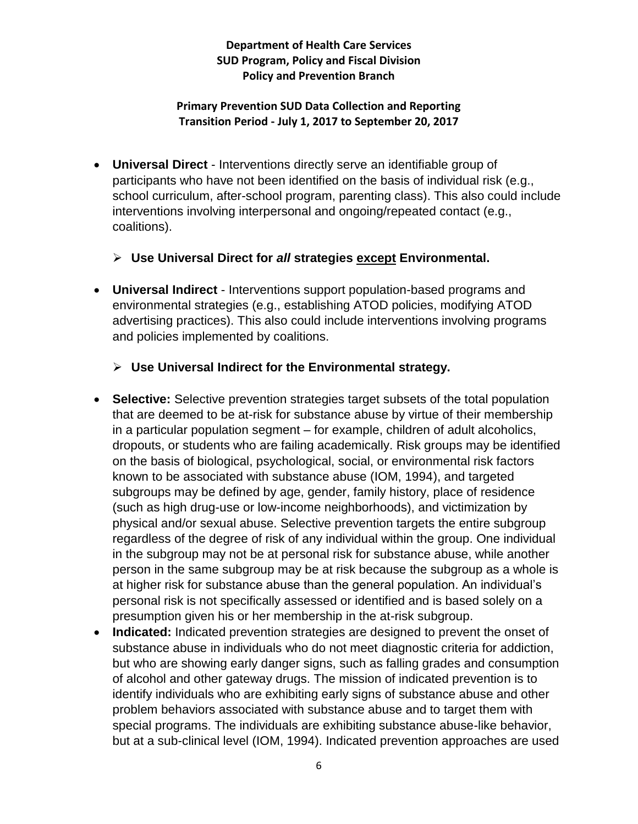#### **Primary Prevention SUD Data Collection and Reporting Transition Period - July 1, 2017 to September 20, 2017**

- **Universal Direct** Interventions directly serve an identifiable group of participants who have not been identified on the basis of individual risk (e.g., school curriculum, after-school program, parenting class). This also could include interventions involving interpersonal and ongoing/repeated contact (e.g., coalitions).
	- **Use Universal Direct for** *all* **strategies except Environmental.**
- **Universal Indirect** Interventions support population-based programs and environmental strategies (e.g., establishing ATOD policies, modifying ATOD advertising practices). This also could include interventions involving programs and policies implemented by coalitions.
	- **Use Universal Indirect for the Environmental strategy.**
- **Selective:** Selective prevention strategies target subsets of the total population that are deemed to be at-risk for substance abuse by virtue of their membership in a particular population segment – for example, children of adult alcoholics, dropouts, or students who are failing academically. Risk groups may be identified on the basis of biological, psychological, social, or environmental risk factors known to be associated with substance abuse (IOM, 1994), and targeted subgroups may be defined by age, gender, family history, place of residence (such as high drug-use or low-income neighborhoods), and victimization by physical and/or sexual abuse. Selective prevention targets the entire subgroup regardless of the degree of risk of any individual within the group. One individual in the subgroup may not be at personal risk for substance abuse, while another person in the same subgroup may be at risk because the subgroup as a whole is at higher risk for substance abuse than the general population. An individual's personal risk is not specifically assessed or identified and is based solely on a presumption given his or her membership in the at-risk subgroup.
- **Indicated:** Indicated prevention strategies are designed to prevent the onset of substance abuse in individuals who do not meet diagnostic criteria for addiction, but who are showing early danger signs, such as falling grades and consumption of alcohol and other gateway drugs. The mission of indicated prevention is to identify individuals who are exhibiting early signs of substance abuse and other problem behaviors associated with substance abuse and to target them with special programs. The individuals are exhibiting substance abuse-like behavior, but at a sub-clinical level (IOM, 1994). Indicated prevention approaches are used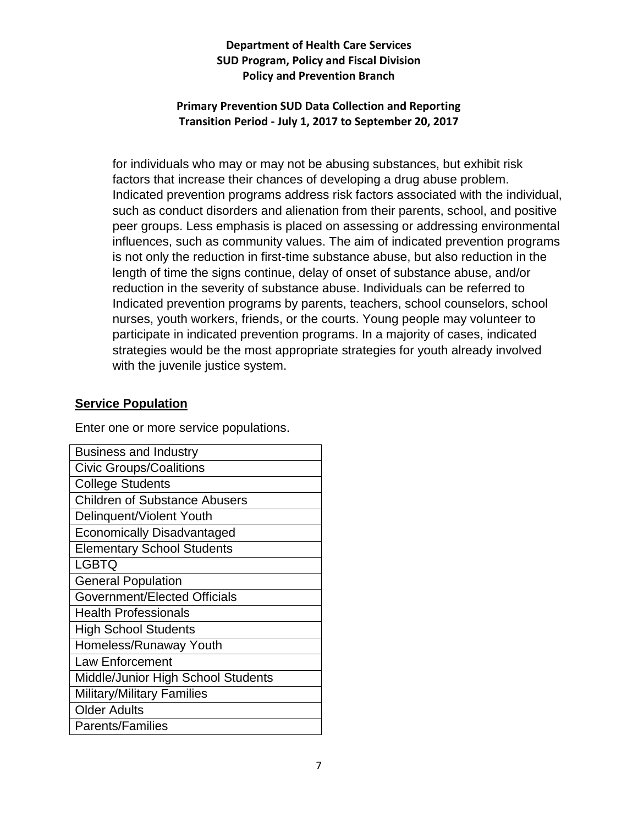### **Primary Prevention SUD Data Collection and Reporting Transition Period - July 1, 2017 to September 20, 2017**

for individuals who may or may not be abusing substances, but exhibit risk factors that increase their chances of developing a drug abuse problem. Indicated prevention programs address risk factors associated with the individual, such as conduct disorders and alienation from their parents, school, and positive peer groups. Less emphasis is placed on assessing or addressing environmental influences, such as community values. The aim of indicated prevention programs is not only the reduction in first-time substance abuse, but also reduction in the length of time the signs continue, delay of onset of substance abuse, and/or reduction in the severity of substance abuse. Individuals can be referred to Indicated prevention programs by parents, teachers, school counselors, school nurses, youth workers, friends, or the courts. Young people may volunteer to participate in indicated prevention programs. In a majority of cases, indicated strategies would be the most appropriate strategies for youth already involved with the juvenile justice system.

### **Service Population**

Enter one or more service populations.

| <b>Business and Industry</b>         |  |
|--------------------------------------|--|
| <b>Civic Groups/Coalitions</b>       |  |
| <b>College Students</b>              |  |
| <b>Children of Substance Abusers</b> |  |
| Delinquent/Violent Youth             |  |
| <b>Economically Disadvantaged</b>    |  |
| <b>Elementary School Students</b>    |  |
| <b>LGBTQ</b>                         |  |
| <b>General Population</b>            |  |
| Government/Elected Officials         |  |
| <b>Health Professionals</b>          |  |
| <b>High School Students</b>          |  |
| Homeless/Runaway Youth               |  |
| <b>Law Enforcement</b>               |  |
| Middle/Junior High School Students   |  |
| <b>Military/Military Families</b>    |  |
| <b>Older Adults</b>                  |  |
| <b>Parents/Families</b>              |  |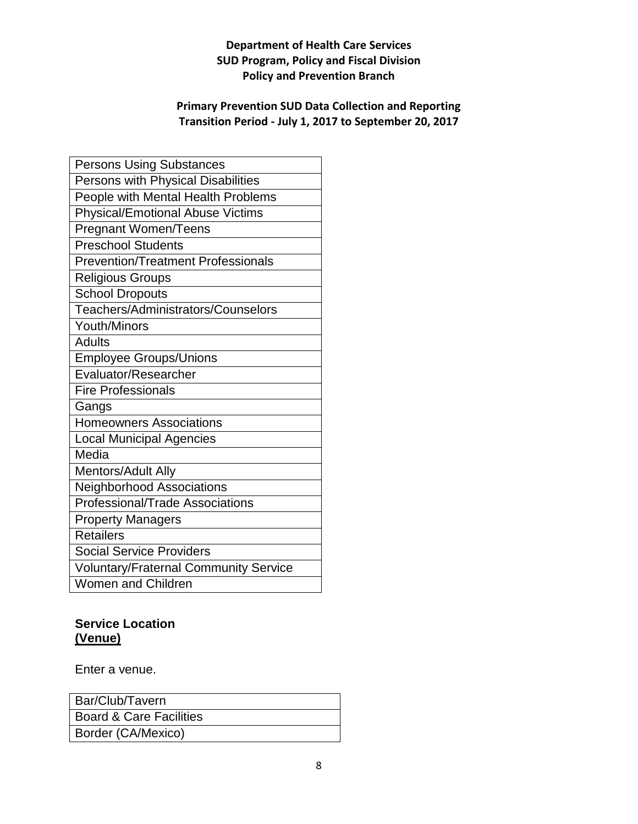## **Primary Prevention SUD Data Collection and Reporting Transition Period - July 1, 2017 to September 20, 2017**

| <b>Persons Using Substances</b>              |
|----------------------------------------------|
| Persons with Physical Disabilities           |
| People with Mental Health Problems           |
| <b>Physical/Emotional Abuse Victims</b>      |
| <b>Pregnant Women/Teens</b>                  |
| Preschool Students                           |
| <b>Prevention/Treatment Professionals</b>    |
| <b>Religious Groups</b>                      |
| <b>School Dropouts</b>                       |
| Teachers/Administrators/Counselors           |
| <b>Youth/Minors</b>                          |
| <b>Adults</b>                                |
| <b>Employee Groups/Unions</b>                |
| Evaluator/Researcher                         |
| <b>Fire Professionals</b>                    |
| Gangs                                        |
| <b>Homeowners Associations</b>               |
| <b>Local Municipal Agencies</b>              |
| Media                                        |
| Mentors/Adult Ally                           |
| <b>Neighborhood Associations</b>             |
| Professional/Trade Associations              |
| <b>Property Managers</b>                     |
| <b>Retailers</b>                             |
| <b>Social Service Providers</b>              |
| <b>Voluntary/Fraternal Community Service</b> |
| Women and Children                           |

# **Service Location (Venue)**

Enter a venue.

| Bar/Club/Tavern                    |
|------------------------------------|
| <b>Board &amp; Care Facilities</b> |
| Border (CA/Mexico)                 |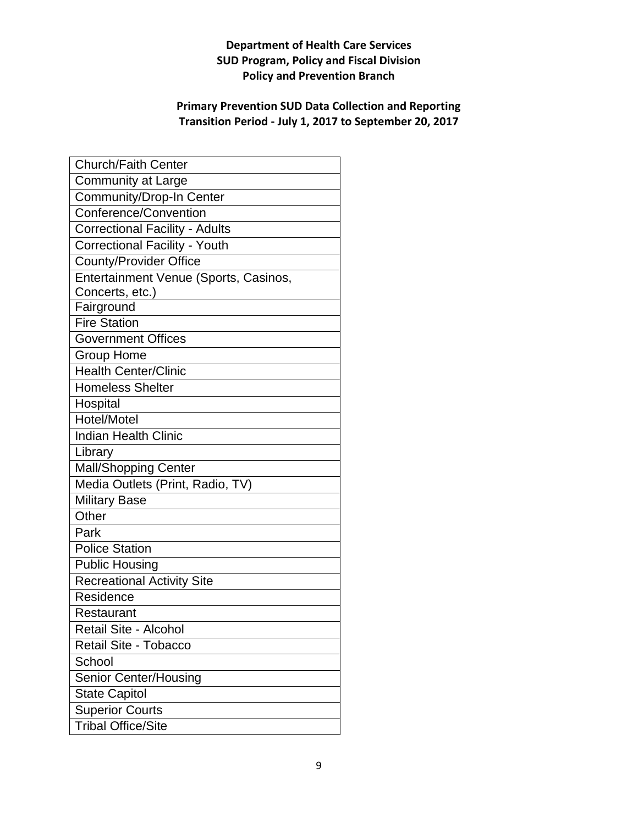## **Primary Prevention SUD Data Collection and Reporting Transition Period - July 1, 2017 to September 20, 2017**

| <b>Church/Faith Center</b>            |
|---------------------------------------|
| <b>Community at Large</b>             |
| Community/Drop-In Center              |
| Conference/Convention                 |
| <b>Correctional Facility - Adults</b> |
| <b>Correctional Facility - Youth</b>  |
| <b>County/Provider Office</b>         |
| Entertainment Venue (Sports, Casinos, |
| Concerts, etc.)                       |
| Fairground                            |
| <b>Fire Station</b>                   |
| <b>Government Offices</b>             |
| <b>Group Home</b>                     |
| <b>Health Center/Clinic</b>           |
| <b>Homeless Shelter</b>               |
| Hospital                              |
| Hotel/Motel                           |
| <b>Indian Health Clinic</b>           |
| Library                               |
| <b>Mall/Shopping Center</b>           |
| Media Outlets (Print, Radio, TV)      |
| <b>Military Base</b>                  |
| Other                                 |
| Park                                  |
| <b>Police Station</b>                 |
| <b>Public Housing</b>                 |
| <b>Recreational Activity Site</b>     |
| Residence                             |
| Restaurant                            |
| Retail Site - Alcohol                 |
| Retail Site - Tobacco                 |
| School                                |
| Senior Center/Housing                 |
| <b>State Capitol</b>                  |
| <b>Superior Courts</b>                |
| <b>Tribal Office/Site</b>             |
|                                       |